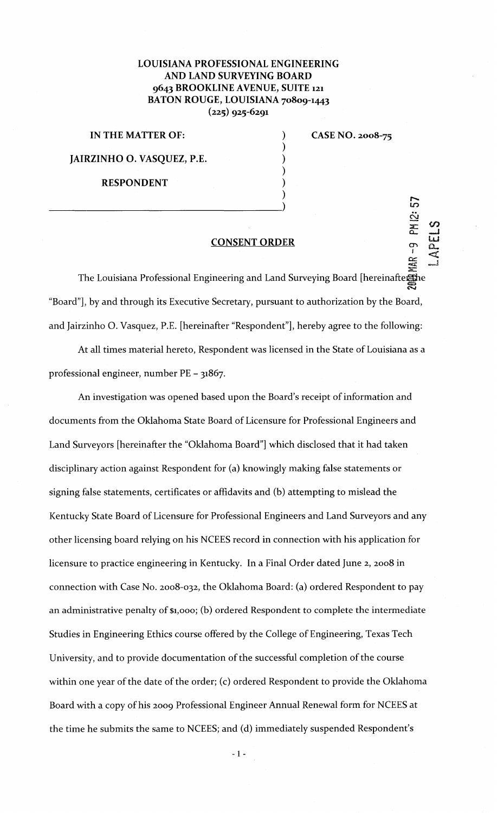## LOUISIANA PROFESSIONAL ENGINEERING AND LAND SURVEYING BOARD 9643 BROOKLINE AVENUE, SUITE 121 BATON ROUGE, LOUISIANA 70809-1443  $(225)$  925-6291

IN THE MATTER OF: JAIRZINHO 0. VASQUEZ, P.E.

RESPONDENT

 $\frac{1}{2}$ 

CASE NO. 2oo8-75

en f

## CONSENT ORDER

) ) ) ) ) )

MAR<sub></sub> The Louisiana Professional Engineering and Land Surveying Board [hereinafterhe]  $\boldsymbol{\Xi}$ "Board"], by and through its Executive Secretary, pursuant to authorization by the Board, and Jairzinho 0. Vasquez, P.E. [hereinafter "Respondent"], hereby agree to the following:

At all times material hereto, Respondent was licensed in the State of Louisiana as a professional engineer, number PE- 31867.

An investigation was opened based upon the Board's receipt of information and documents from the Oklahoma State Board of Licensure for Professional Engineers and Land Surveyors [hereinafter the "Oklahoma Board"] which disclosed that it had taken disciplinary action against Respondent for (a) knowingly making false statements or signing false statements, certificates or affidavits and (b) attempting to mislead the Kentucky State Board of Licensure for Professional Engineers and Land Surveyors and any other licensing board relying on his NCEES record in connection with his application for licensure to practice engineering in Kentucky. In a Final Order dated June 2, 2oo8 in connection with Case No. 2008-032, the Oklahoma Board: (a) ordered Respondent to pay an administrative penalty of \$1,ooo; (b) ordered Respondent to complete the intermediate Studies in Engineering Ethics course offered by the College of Engineering, Texas Tech University, and to provide documentation of the successful completion of the course within one year of the date of the order; (c) ordered Respondent to provide the Oklahoma Board with a copy of his 2009 Professional Engineer Annual Renewal form for NCEES at the time he submits the same to NCEES; and (d) immediately suspended Respondent's

- 1 -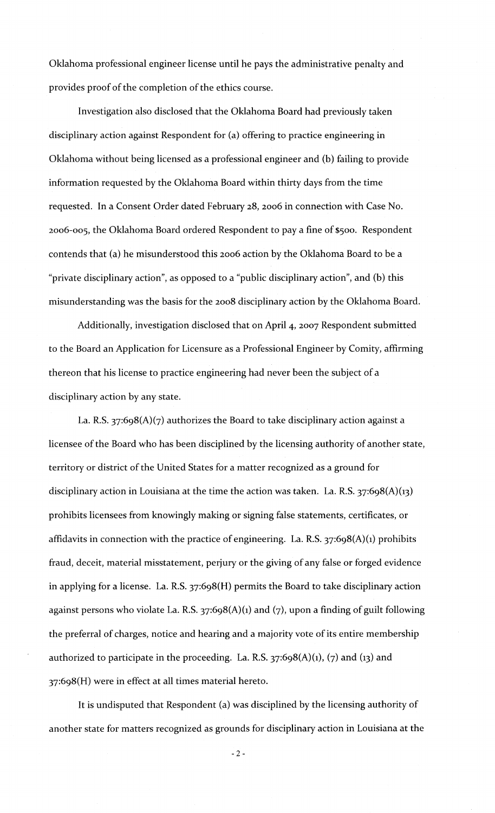Oklahoma professional engineer license until he pays the administrative penalty and provides proof of the completion of the ethics course.

Investigation also disclosed that the Oklahoma Board had previously taken disciplinary action against Respondent for (a) offering to practice engineering in Oklahoma without being licensed as a professional engineer and (b) failing to provide information requested by the Oklahoma Board within thirty days from the time requested. In a Consent Order dated February 28, 2006 in connection with Case No. 2oo6-oos, the Oldahoma Board ordered Respondent to pay a fine of \$500. Respondent contends that (a) he misunderstood this 2oo6 action by the Oklahoma Board to be a "private disciplinary action", as opposed to a "public disciplinary action", and (b) this misunderstanding was the basis for the 2oo8 disciplinary action by the Oklahoma Board.

Additionally, investigation disclosed that on April 4, 2007 Respondent submitted to the Board an Application for Licensure as a Professional Engineer by Comity, affirming thereon that his license to practice engineering had never been the subject of a disciplinary action by any state.

La. R.S.  $37:698(A)(7)$  authorizes the Board to take disciplinary action against a licensee of the Board who has been disciplined by the licensing authority of another state, territory or district of the United States for a matter recognized as a ground for disciplinary action in Louisiana at the time the action was taken. La. R.S.  $37:698(A)(13)$ prohibits licensees from knowingly making or signing false statements, certificates, or affidavits in connection with the practice of engineering. La. R.S.  $37:698(A)(1)$  prohibits fraud, deceit, material misstatement, perjury or the giving of any false or forged evidence in applying for a license. La. R.S. 37:6g8(H) permits the Board to take disciplinary action against persons who violate La. R.S.  $37:698(A)(1)$  and (7), upon a finding of guilt following the preferral of charges, notice and hearing and a majority vote of its entire membership authorized to participate in the proceeding. La. R.S.  $37:698(A)(1)$ ,  $(7)$  and  $(13)$  and 37:6g8(H) were in effect at all times material hereto.

It is undisputed that Respondent (a) was disciplined by the licensing authority of another state for matters recognized as grounds for disciplinary action in Louisiana at the

-2-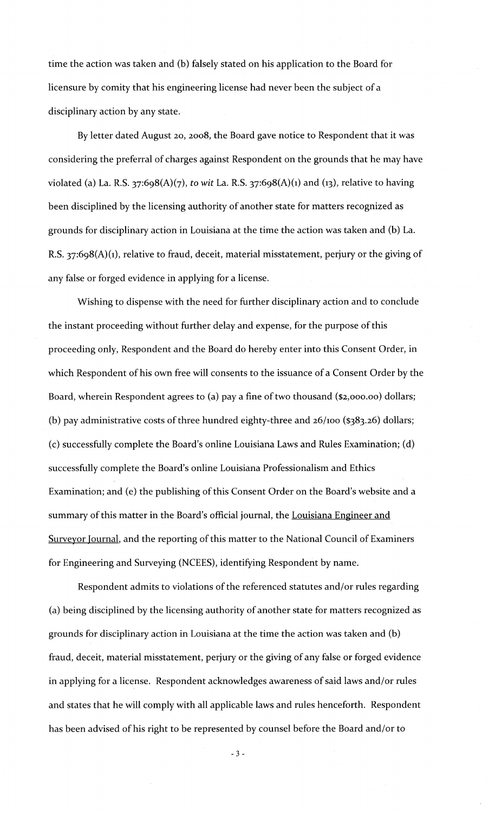time the action was taken and (b) falsely stated on his application to the Board for licensure by comity that his engineering license had never been the subject of a disciplinary action by any state.

By letter dated August 20, 2oo8, the Board gave notice to Respondent that it was considering the preferral of charges against Respondent on the grounds that he may have violated (a) La. R.S. 37:6g8(A)(7), *to wit* La. R.S. 37:6g8(A)(1) and (13), relative to having been disciplined by the licensing authority of another state for matters recognized as grounds for disciplinary action in Louisiana at the time the action was taken and (b) La. R.S.  $37:698(A)(1)$ , relative to fraud, deceit, material misstatement, perjury or the giving of any false or forged evidence in applying for a license.

Wishing to dispense with the need for further disciplinary action and to conclude the instant proceeding without further delay and expense, for the purpose of this proceeding only, Respondent and the Board do hereby enter into this Consent Order, in which Respondent of his own free will consents to the issuance of a Consent Order by the Board, wherein Respondent agrees to (a) pay a fine of two thousand (\$2,ooo.oo) dollars; (b) pay administrative costs of three hundred eighty-three and  $26/100$  (\$383.26) dollars; (c) successfully complete the Board's online Louisiana Laws and Rules Examination; (d) successfully complete the Board's online Louisiana Professionalism and Ethics Examination; and (e) the publishing of this Consent Order on the Board's website and a summary of this matter in the Board's official journal, the Louisiana Engineer and Surveyor Journal, and the reporting of this matter to the National Council of Examiners for Engineering and Surveying (NCEES), identifying Respondent by name.

Respondent admits to violations of the referenced statutes and/or rules regarding (a) being disciplined by the licensing authority of another state for matters recognized as grounds for disciplinary action in Louisiana at the time the action was taken and (b) fraud, deceit, material misstatement, perjury or the giving of any false or forged evidence in applying for a license. Respondent acknowledges awareness of said laws and/or rules and states that he will comply with all applicable laws and rules henceforth. Respondent has been advised of his right to be represented by counsel before the Board and/or to

- 3 -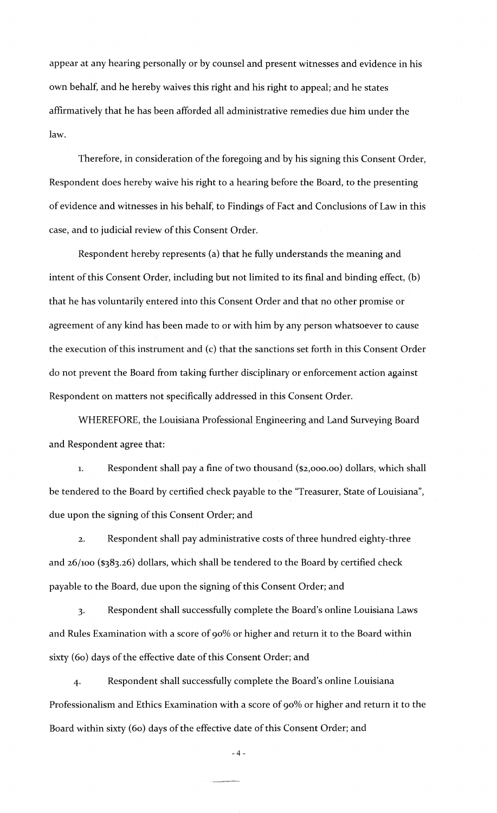appear at any hearing personally or by counsel and present witnesses and evidence in his own behalf, and he hereby waives this right and his right to appeal; and he states affirmatively that he has been afforded all administrative remedies due him under the law.

Therefore, in consideration of the foregoing and by his signing this Consent Order, Respondent does hereby waive his right to a hearing before the Board, to the presenting of evidence and witnesses in his behalf, to Findings of Fact and Conclusions of Law in this case, and to judicial review of this Consent Order.

Respondent hereby represents (a) that he fully understands the meaning and intent of this Consent Order, including but not limited to its final and binding effect, (b) that he has voluntarily entered into this Consent Order and that no other promise or agreement of any kind has been made to or with him by any person whatsoever to cause the execution of this instrument and (c) that the sanctions set forth in this Consent Order do not prevent the Board from taking further disciplinary or enforcement action against Respondent on matters not specifically addressed in this Consent Order.

WHEREFORE, the Louisiana Professional Engineering and Land Surveying Board and Respondent agree that:

1. Respondent shall pay a fine of two thousand (\$2,ooo.oo) dollars, which shall be tendered to the Board by certified check payable to the "Treasurer, State of Louisiana", due upon the signing of this Consent Order; and

2. Respondent shall pay administrative costs of three hundred eighty-three and 26/Ioo (\$383.26) dollars, which shall be tendered to the Board by certified check payable to the Board, due upon the signing of this Consent Order; and

3· Respondent shall successfully complete the Board's online Louisiana Laws and Rules Examination with a score of go% or higher and return it to the Board within sixty (60) days of the effective date of this Consent Order; and

4· Respondent shall successfully complete the Board's online Louisiana Professionalism and Ethics Examination with a score of 90% or higher and return it to the Board within sixty (60) days of the effective date of this Consent Order; and

-4-